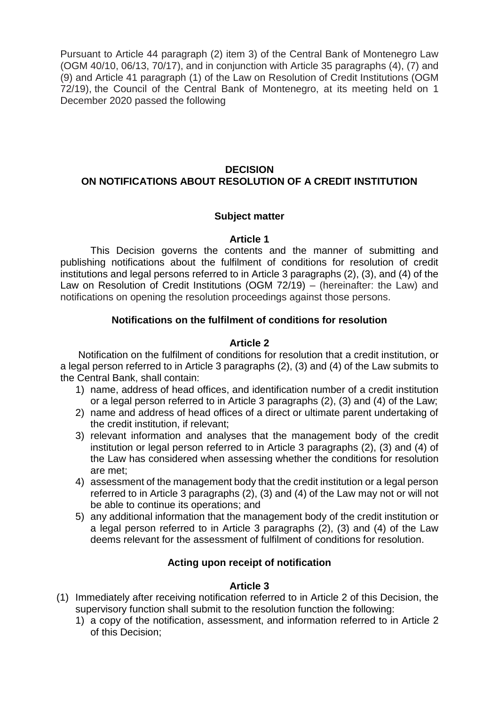Pursuant to Article 44 paragraph (2) item 3) of the Central Bank of Montenegro Law (OGM 40/10, 06/13, 70/17), and in conjunction with Article 35 paragraphs (4), (7) and (9) and Article 41 paragraph (1) of the Law on Resolution of Credit Institutions (OGM 72/19), the Council of the Central Bank of Montenegro, at its meeting held on 1 December 2020 passed the following

# **DECISION ON NOTIFICATIONS ABOUT RESOLUTION OF A CREDIT INSTITUTION**

## **Subject matter**

#### **Article 1**

This Decision governs the contents and the manner of submitting and publishing notifications about the fulfilment of conditions for resolution of credit institutions and legal persons referred to in Article 3 paragraphs (2), (3), and (4) of the Law on Resolution of Credit Institutions (OGM 72/19) – (hereinafter: the Law) and notifications on opening the resolution proceedings against those persons.

## **Notifications on the fulfilment of conditions for resolution**

## **Article 2**

Notification on the fulfilment of conditions for resolution that a credit institution, or a legal person referred to in Article 3 paragraphs (2), (3) and (4) of the Law submits to the Central Bank, shall contain:

- 1) name, address of head offices, and identification number of a credit institution or a legal person referred to in Article 3 paragraphs (2), (3) and (4) of the Law;
- 2) name and address of head offices of a direct or ultimate parent undertaking of the credit institution, if relevant;
- 3) relevant information and analyses that the management body of the credit institution or legal person referred to in Article 3 paragraphs (2), (3) and (4) of the Law has considered when assessing whether the conditions for resolution are met;
- 4) assessment of the management body that the credit institution or a legal person referred to in Article 3 paragraphs (2), (3) and (4) of the Law may not or will not be able to continue its operations; and
- 5) any additional information that the management body of the credit institution or a legal person referred to in Article 3 paragraphs (2), (3) and (4) of the Law deems relevant for the assessment of fulfilment of conditions for resolution.

## **Acting upon receipt of notification**

## **Article 3**

- (1) Immediately after receiving notification referred to in Article 2 of this Decision, the supervisory function shall submit to the resolution function the following:
	- 1) a copy of the notification, assessment, and information referred to in Article 2 of this Decision;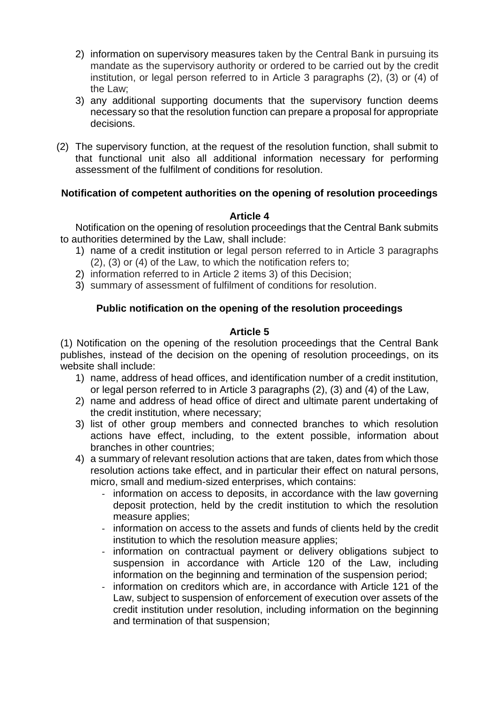- 2) information on supervisory measures taken by the Central Bank in pursuing its mandate as the supervisory authority or ordered to be carried out by the credit institution, or legal person referred to in Article 3 paragraphs (2), (3) or (4) of the Law;
- 3) any additional supporting documents that the supervisory function deems necessary so that the resolution function can prepare a proposal for appropriate decisions.
- (2) The supervisory function, at the request of the resolution function, shall submit to that functional unit also all additional information necessary for performing assessment of the fulfilment of conditions for resolution.

# **Notification of competent authorities on the opening of resolution proceedings**

## **Article 4**

Notification on the opening of resolution proceedings that the Central Bank submits to authorities determined by the Law, shall include:

- 1) name of a credit institution or legal person referred to in Article 3 paragraphs (2), (3) or (4) of the Law, to which the notification refers to;
- 2) information referred to in Article 2 items 3) of this Decision;
- 3) summary of assessment of fulfilment of conditions for resolution.

## **Public notification on the opening of the resolution proceedings**

## **Article 5**

(1) Notification on the opening of the resolution proceedings that the Central Bank publishes, instead of the decision on the opening of resolution proceedings, on its website shall include:

- 1) name, address of head offices, and identification number of a credit institution, or legal person referred to in Article 3 paragraphs (2), (3) and (4) of the Law,
- 2) name and address of head office of direct and ultimate parent undertaking of the credit institution, where necessary;
- 3) list of other group members and connected branches to which resolution actions have effect, including, to the extent possible, information about branches in other countries;
- 4) a summary of relevant resolution actions that are taken, dates from which those resolution actions take effect, and in particular their effect on natural persons, micro, small and medium-sized enterprises, which contains:
	- information on access to deposits, in accordance with the law governing deposit protection, held by the credit institution to which the resolution measure applies;
	- information on access to the assets and funds of clients held by the credit institution to which the resolution measure applies;
	- information on contractual payment or delivery obligations subject to suspension in accordance with Article 120 of the Law, including information on the beginning and termination of the suspension period;
	- information on creditors which are, in accordance with Article 121 of the Law, subject to suspension of enforcement of execution over assets of the credit institution under resolution, including information on the beginning and termination of that suspension;